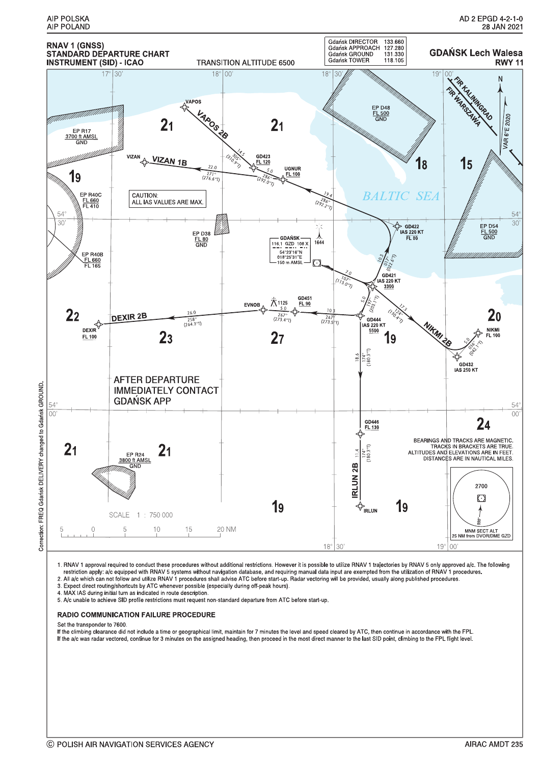

1. RNAV 1 approval required to conduct these procedures without additional restrictions. However it is possible to utilize RNAV 1 trajectories by RNAV 5 only approved a/c. The following<br>restriction apply: a/c equipped with

3. Expect direct routing/shortcuts by ATC whenever possible (especially during off-peak hours).

4. MAX IAS during initial turn as indicated in route description.

5. A/c unable to achieve SID profile restrictions must request non-standard departure from ATC before start-up.

#### **RADIO COMMUNICATION FAILURE PROCEDURE**

Set the transponder to 7600.

If the climbing clearance did not include a time or geographical limit, maintain for 7 minutes the level and speed cleared by ATC, then continue in accordance with the FPL. If the a/c was radar vectored, continue for 3 minutes on the assigned heading, then proceed in the most direct manner to the last SID point, climbing to the FPL flight level.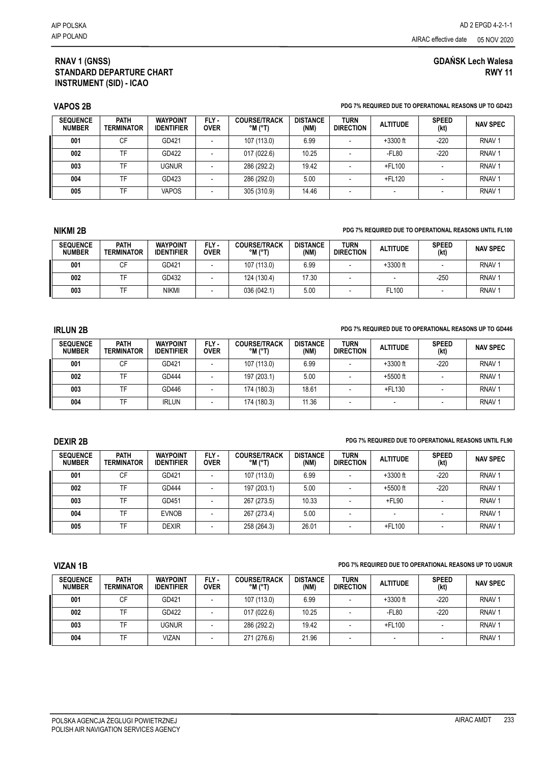# **GDAŃSK Lech Walesa RWY 11**

## **RNAV 1 (GNSS) STANDARD DEPARTURE CHART INSTRUMENT (SID) - ICAO**

### **VAPOS 2B PDG 7% REQUIRED DUE TO OPERATIONAL REASONS UP TO GD423**

| <b>SEQUENCE</b><br><b>NUMBER</b> | <b>PATH</b><br><b>TERMINATOR</b> | <b>WAYPOINT</b><br><b>IDENTIFIER</b> | FLY-<br><b>OVER</b> | <b>COURSE/TRACK</b><br>$^{\circ}$ M ( $^{\circ}$ T) | <b>DISTANCE</b><br>(NM) | <b>TURN</b><br><b>DIRECTION</b> | <b>ALTITUDE</b> | <b>SPEED</b><br>(kt) | <b>NAV SPEC</b>   |
|----------------------------------|----------------------------------|--------------------------------------|---------------------|-----------------------------------------------------|-------------------------|---------------------------------|-----------------|----------------------|-------------------|
| 001                              | СF                               | GD421                                |                     | 107 (113.0)                                         | 6.99                    |                                 | $+3300$ ft      | $-220$               | RNAV <sub>1</sub> |
| 002                              | TF                               | GD422                                |                     | 017 (022.6)                                         | 10.25                   |                                 | $-FL80$         | $-220$               | RNAV <sub>1</sub> |
| 003                              | ΤΕ                               | ugnur                                |                     | 286 (292.2)                                         | 19.42                   |                                 | +FL100          |                      | RNAV <sub>1</sub> |
| 004                              | TF                               | GD423                                |                     | 286 (292.0)                                         | 5.00                    |                                 | +FL120          |                      | RNAV <sub>1</sub> |
| 005                              | TF                               | <b>VAPOS</b>                         |                     | 305 (310.9)                                         | 14.46                   |                                 |                 |                      | RNAV <sub>1</sub> |

### **NIKMI 2B PDG 7% REQUIRED DUE TO OPERATIONAL REASONS UNTIL FL100**

| <b>SEQUENCE</b><br><b>NUMBER</b> | PATH<br><b>TERMINATOR</b> | <b>WAYPOINT</b><br><b>IDENTIFIER</b> | FLY -<br><b>OVER</b> | <b>COURSE/TRACK</b><br>$^{\circ}$ M ( $^{\circ}$ T) | <b>DISTANCE</b><br>(NM) | <b>TURN</b><br><b>DIRECTION</b> | <b>ALTITUDE</b> | <b>SPEED</b><br>(kt) | <b>NAV SPEC</b>   |
|----------------------------------|---------------------------|--------------------------------------|----------------------|-----------------------------------------------------|-------------------------|---------------------------------|-----------------|----------------------|-------------------|
| 001                              | СF                        | GD421                                |                      | 107 (113.0)                                         | 6.99                    |                                 | $+3300$ ft      |                      | RNAV <sup>-</sup> |
| 002                              |                           | GD432                                |                      | 124 (130.4)                                         | 17.30                   |                                 |                 | $-250$               | RNAV <sup>-</sup> |
| 003                              |                           | NIKMI                                |                      | 036 (042.1)                                         | 5.00                    |                                 | FL100           |                      | <b>RNAV</b>       |

### **IRLUN 2B PDG 7% REQUIRED DUE TO OPERATIONAL REASONS UP TO GD446**

| <b>SEQUENCE</b><br><b>NUMBER</b> | <b>PATH</b><br><b>TERMINATOR</b> | <b>WAYPOINT</b><br><b>IDENTIFIER</b> | FLY-<br><b>OVER</b> | <b>COURSE/TRACK</b><br>$^{\circ}$ M $^{\circ}$ T) | <b>DISTANCE</b><br>(NM) | <b>TURN</b><br><b>DIRECTION</b> | <b>ALTITUDE</b> | <b>SPEED</b><br>(kt) | <b>NAV SPEC</b>   |
|----------------------------------|----------------------------------|--------------------------------------|---------------------|---------------------------------------------------|-------------------------|---------------------------------|-----------------|----------------------|-------------------|
| 001                              | СF                               | GD421                                |                     | 107 (113.0)                                       | 6.99                    |                                 | $+3300$ ft      | $-220$               | RNAV <sup>1</sup> |
| 002                              | тc                               | GD444                                |                     | 197 (203.1)                                       | 5.00                    |                                 | $+5500$ ft      |                      | RNAV <sup></sup>  |
| 003                              |                                  | GD446                                |                     | 174 (180.3)                                       | 18.61                   |                                 | +FL130          |                      | RNAV <sup>1</sup> |
| 004                              | TF                               | <b>IRLUN</b>                         |                     | 174 (180.3)                                       | 11.36                   |                                 |                 |                      | <b>RNAV</b>       |

#### **DEXIR 2B PDG 7% REQUIRED DUE TO OPERATIONAL REASONS UNTIL FL90**

| <b>SEQUENCE</b><br><b>NUMBER</b> | <b>PATH</b><br><b>TERMINATOR</b> | <b>WAYPOINT</b><br><b>IDENTIFIER</b> | FLY-<br><b>OVER</b> | <b>COURSE/TRACK</b><br>$^{\circ}$ M ( $^{\circ}$ T) | <b>DISTANCE</b><br>(NM) | <b>TURN</b><br><b>DIRECTION</b> | <b>ALTITUDE</b> | <b>SPEED</b><br>(kt) | <b>NAV SPEC</b>   |
|----------------------------------|----------------------------------|--------------------------------------|---------------------|-----------------------------------------------------|-------------------------|---------------------------------|-----------------|----------------------|-------------------|
| 001                              | СF                               | GD421                                |                     | 107 (113.0)                                         | 6.99                    |                                 | $+3300$ ft      | $-220$               | RNAV <sub>1</sub> |
| 002                              | TF                               | GD444                                |                     | 197 (203.1)                                         | 5.00                    |                                 | $+5500$ ft      | $-220$               | RNAV <sub>1</sub> |
| 003                              | TF                               | GD451                                |                     | 267 (273.5)                                         | 10.33                   |                                 | $+$ FL90        |                      | RNAV <sub>1</sub> |
| 004                              | TF                               | <b>EVNOB</b>                         |                     | 267 (273.4)                                         | 5.00                    |                                 | ۰               |                      | RNAV <sub>1</sub> |
| 005                              | TF                               | DEXIR                                |                     | 258 (264.3)                                         | 26.01                   |                                 | +FL100          |                      | RNAV <sub>1</sub> |

### **VIZAN 1B PDG 7% REQUIRED DUE TO OPERATIONAL REASONS UP TO UGNUR**

| <b>SEQUENCE</b><br><b>NUMBER</b> | <b>PATH</b><br><b>TERMINATOR</b> | <b>WAYPOINT</b><br><b>IDENTIFIER</b> | FLY-<br><b>OVER</b> | <b>COURSE/TRACK</b><br>$^{\circ}$ M $^{\circ}$ T) | <b>DISTANCE</b><br>(NM) | <b>TURN</b><br><b>DIRECTION</b> | <b>ALTITUDE</b> | <b>SPEED</b><br>(kt) | <b>NAV SPEC</b>   |
|----------------------------------|----------------------------------|--------------------------------------|---------------------|---------------------------------------------------|-------------------------|---------------------------------|-----------------|----------------------|-------------------|
| 001                              | СF                               | GD421                                |                     | 107 (113.0)                                       | 6.99                    | $\overline{\phantom{0}}$        | $+3300$ ft      | $-220$               | RNAV <sup>-</sup> |
| 002                              | TF                               | GD422                                |                     | 017(022.6)                                        | 10.25                   |                                 | $-FL80$         | $-220$               | RNAV <sup>-</sup> |
| 003                              | TF                               | ugnur                                |                     | 286 (292.2)                                       | 19.42                   |                                 | +FL100          |                      | RNAV <sup>-</sup> |
| 004                              | TF                               | <b>VIZAN</b>                         |                     | 271 (276.6)                                       | 21.96                   |                                 |                 |                      | RNAV <sup>-</sup> |